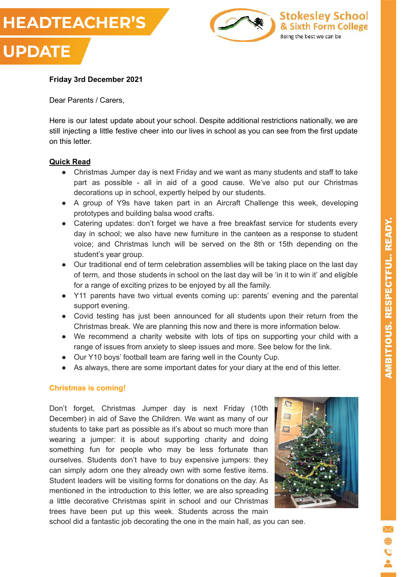



#### **Friday 3rd December 2021**

Dear Parents / Carers,

Here is our latest update about your school. Despite additional restrictions nationally, we are still injecting a little festive cheer into our lives in school as you can see from the first update on this letter.

#### **Quick Read**

- Christmas Jumper day is next Friday and we want as many students and staff to take part as possible - all in aid of a good cause. We've also put our Christmas decorations up in school, expertly helped by our students.
- A group of Y9s have taken part in an Aircraft Challenge this week, developing prototypes and building balsa wood crafts.
- Catering updates: don't forget we have a free breakfast service for students every day in school; we also have new furniture in the canteen as a response to student voice; and Christmas lunch will be served on the 8th or 15th depending on the student's year group.
- Our traditional end of term celebration assemblies will be taking place on the last day of term, and those students in school on the last day will be 'in it to win it' and eligible for a range of exciting prizes to be enjoyed by all the family.
- Y11 parents have two virtual events coming up: parents' evening and the parental support evening.
- Covid testing has just been announced for all students upon their return from the Christmas break. We are planning this now and there is more information below.
- We recommend a charity website with lots of tips on supporting your child with a range of issues from anxiety to sleep issues and more. See below for the link.
- Our Y10 boys' football team are faring well in the County Cup.
- As always, there are some important dates for your diary at the end of this letter.

## **Christmas is coming!**

Don't forget, Christmas Jumper day is next Friday (10th December) in aid of Save the Children. We want as many of our students to take part as possible as it's about so much more than wearing a jumper: it is about supporting charity and doing something fun for people who may be less fortunate than ourselves. Students don't have to buy expensive jumpers: they can simply adorn one they already own with some festive items. Student leaders will be visiting forms for donations on the day. As mentioned in the introduction to this letter, we are also spreading a little decorative Christmas spirit in school and our Christmas trees have been put up this week. Students across the main



school did a fantastic job decorating the one in the main hall, as you can see.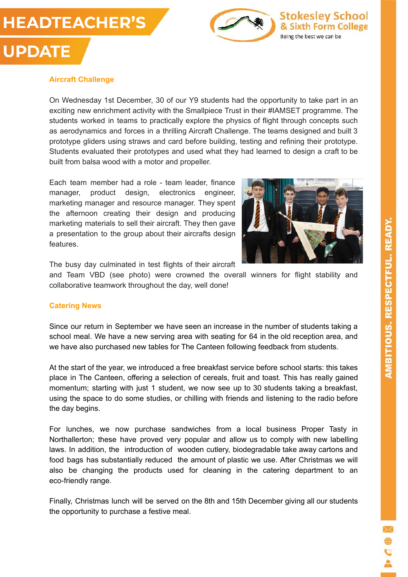# **HEADTEACHER'S**

**UPDATE** 



**Stokesley School** & Sixth Form College Being the best we can be

## **Aircraft Challenge**

On Wednesday 1st December, 30 of our Y9 students had the opportunity to take part in an exciting new enrichment activity with the Smallpiece Trust in their #IAMSET programme. The students worked in teams to practically explore the physics of flight through concepts such as aerodynamics and forces in a thrilling Aircraft Challenge. The teams designed and built 3 prototype gliders using straws and card before building, testing and refining their prototype. Students evaluated their prototypes and used what they had learned to design a craft to be built from balsa wood with a motor and propeller.

Each team member had a role - team leader, finance manager, product design, electronics engineer, marketing manager and resource manager. They spent the afternoon creating their design and producing marketing materials to sell their aircraft. They then gave a presentation to the group about their aircrafts design features.



The busy day culminated in test flights of their aircraft

and Team VBD (see photo) were crowned the overall winners for flight stability and collaborative teamwork throughout the day, well done!

## **Catering News**

Since our return in September we have seen an increase in the number of students taking a school meal. We have a new serving area with seating for 64 in the old reception area, and we have also purchased new tables for The Canteen following feedback from students.

At the start of the year, we introduced a free breakfast service before school starts: this takes place in The Canteen, offering a selection of cereals, fruit and toast. This has really gained momentum; starting with just 1 student, we now see up to 30 students taking a breakfast, using the space to do some studies, or chilling with friends and listening to the radio before the day begins.

For lunches, we now purchase sandwiches from a local business Proper Tasty in Northallerton; these have proved very popular and allow us to comply with new labelling laws. In addition, the introduction of wooden cutlery, biodegradable take away cartons and food bags has substantially reduced the amount of plastic we use. After Christmas we will also be changing the products used for cleaning in the catering department to an eco-friendly range.

Finally, Christmas lunch will be served on the 8th and 15th December giving all our students the opportunity to purchase a festive meal.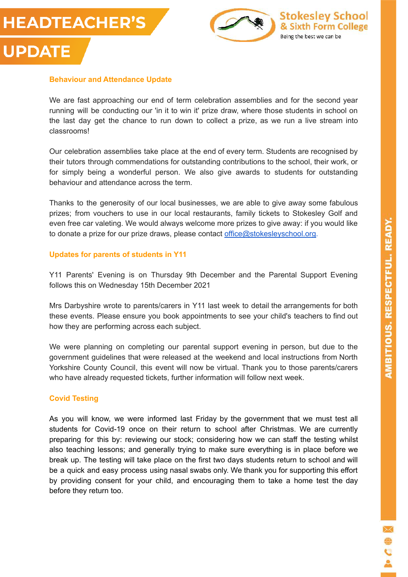



#### **Behaviour and Attendance Update**

We are fast approaching our end of term celebration assemblies and for the second year running will be conducting our 'in it to win it' prize draw, where those students in school on the last day get the chance to run down to collect a prize, as we run a live stream into classrooms!

Our celebration assemblies take place at the end of every term. Students are recognised by their tutors through commendations for outstanding contributions to the school, their work, or for simply being a wonderful person. We also give awards to students for outstanding behaviour and attendance across the term.

Thanks to the generosity of our local businesses, we are able to give away some fabulous prizes; from vouchers to use in our local restaurants, family tickets to Stokesley Golf and even free car valeting. We would always welcome more prizes to give away: if you would like to donate a prize for our prize draws, please contact [office@stokesleyschool.org.](mailto:office@stokesleyschool.org)

#### **Updates for parents of students in Y11**

Y11 Parents' Evening is on Thursday 9th December and the Parental Support Evening follows this on Wednesday 15th December 2021

Mrs Darbyshire wrote to parents/carers in Y11 last week to detail the arrangements for both these events. Please ensure you book appointments to see your child's teachers to find out how they are performing across each subject.

We were planning on completing our parental support evening in person, but due to the government guidelines that were released at the weekend and local instructions from North Yorkshire County Council, this event will now be virtual. Thank you to those parents/carers who have already requested tickets, further information will follow next week.

#### **Covid Testing**

As you will know, we were informed last Friday by the government that we must test all students for Covid-19 once on their return to school after Christmas. We are currently preparing for this by: reviewing our stock; considering how we can staff the testing whilst also teaching lessons; and generally trying to make sure everything is in place before we break up. The testing will take place on the first two days students return to school and will be a quick and easy process using nasal swabs only. We thank you for supporting this effort by providing consent for your child, and encouraging them to take a home test the day before they return too.